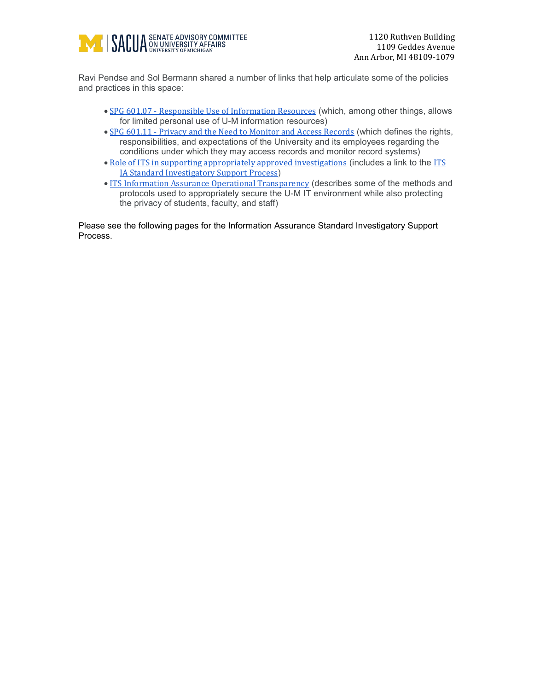

Ravi Pendse and Sol Bermann shared a number of links that help articulate some of the policies and practices in this space:

- SPG 601.07 [Responsible Use of Information Resources](https://spg.umich.edu/policy/601.07) (which, among other things, allows for limited personal use of U-M information resources)
- SPG 601.11 [Privacy and the Need to Monitor and Access Records](https://spg.umich.edu/policy/601.11) (which defines the rights, responsibilities, and expectations of the University and its employees regarding the conditions under which they may access records and monitor record systems)
- [Role of ITS in supporting appropriately approved investigations](https://safecomputing.umich.edu/protect-the-u/protect-your-unit/services/user-advocate) (includes a link to the ITS [IA Standard Investigatory Support Process](https://drive.google.com/file/d/1rUeWUVbktI9lEFLW5qTlkjoqNPuXdxnc/view?usp=sharing))
- [ITS Information Assurance Operational Transparency](https://safecomputing.umich.edu/transparency) (describes some of the methods and protocols used to appropriately secure the U-M IT environment while also protecting the privacy of students, faculty, and staff)

Please see the following pages for the Information Assurance Standard Investigatory Support Process.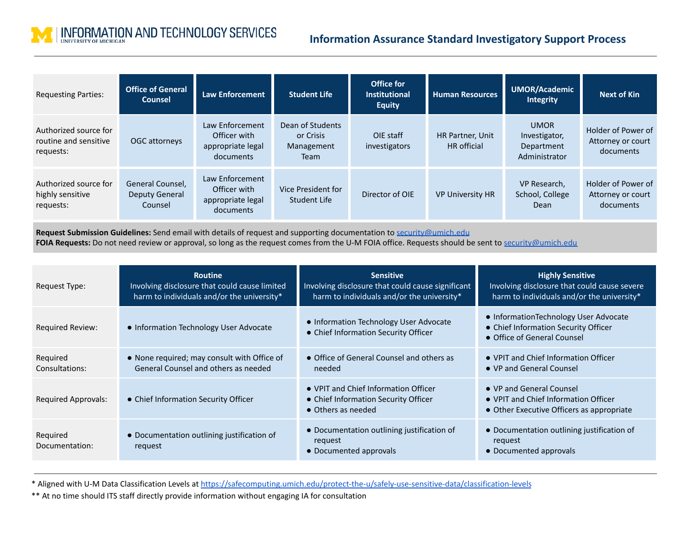

## **Information Assurance Standard Investigatory Support Process**

| <b>Requesting Parties:</b>                                  | <b>Office of General</b><br><b>Counsel</b>           | Law Enforcement                                                   | <b>Student Life</b>                                        | Office for<br><b>Institutional</b><br><b>Equity</b> | <b>Human Resources</b>                 | <b>UMOR/Academic</b><br>Integrity                           | <b>Next of Kin</b>                                   |
|-------------------------------------------------------------|------------------------------------------------------|-------------------------------------------------------------------|------------------------------------------------------------|-----------------------------------------------------|----------------------------------------|-------------------------------------------------------------|------------------------------------------------------|
| Authorized source for<br>routine and sensitive<br>requests: | <b>OGC</b> attorneys                                 | Law Enforcement<br>Officer with<br>appropriate legal<br>documents | Dean of Students<br>or Crisis<br>Management<br><b>Team</b> | OIE staff<br>investigators                          | HR Partner, Unit<br><b>HR</b> official | <b>UMOR</b><br>Investigator,<br>Department<br>Administrator | Holder of Power of<br>Attorney or court<br>documents |
| Authorized source for<br>highly sensitive<br>requests:      | General Counsel,<br><b>Deputy General</b><br>Counsel | Law Enforcement<br>Officer with<br>appropriate legal<br>documents | Vice President for<br><b>Student Life</b>                  | Director of OIE                                     | <b>VP University HR</b>                | VP Research,<br>School, College<br>Dean                     | Holder of Power of<br>Attorney or court<br>documents |

**Request Submission Guidelines:** Send email with details of request and supporting documentation to [security@umich.edu](mailto:security@umich.edu) **FOIA Requests:** Do not need review or approval, so long as the request comes from the U-M FOIA office. Requests should be sent to [security@umich.edu](mailto:security@umich.edu)

| Request Type:              | <b>Routine</b><br>Involving disclosure that could cause limited<br>harm to individuals and/or the university* | <b>Sensitive</b><br>Involving disclosure that could cause significant<br>harm to individuals and/or the university* | <b>Highly Sensitive</b><br>Involving disclosure that could cause severe<br>harm to individuals and/or the university* |
|----------------------------|---------------------------------------------------------------------------------------------------------------|---------------------------------------------------------------------------------------------------------------------|-----------------------------------------------------------------------------------------------------------------------|
| Required Review:           | • Information Technology User Advocate                                                                        | • Information Technology User Advocate<br>• Chief Information Security Officer                                      | • InformationTechnology User Advocate<br>• Chief Information Security Officer<br>• Office of General Counsel          |
| Required<br>Consultations: | • None required; may consult with Office of<br>General Counsel and others as needed                           | • Office of General Counsel and others as<br>needed                                                                 | • VPIT and Chief Information Officer<br>• VP and General Counsel                                                      |
| Required Approvals:        | • Chief Information Security Officer                                                                          | • VPIT and Chief Information Officer<br>• Chief Information Security Officer<br>• Others as needed                  | • VP and General Counsel<br>• VPIT and Chief Information Officer<br>• Other Executive Officers as appropriate         |
| Required<br>Documentation: | • Documentation outlining justification of<br>request                                                         | • Documentation outlining justification of<br>request<br>• Documented approvals                                     | • Documentation outlining justification of<br>request<br>• Documented approvals                                       |

\* Aligned with U-M Data Classification Levels at <https://safecomputing.umich.edu/protect-the-u/safely-use-sensitive-data/classification-levels>

\*\* At no time should ITS staff directly provide information without engaging IA for consultation